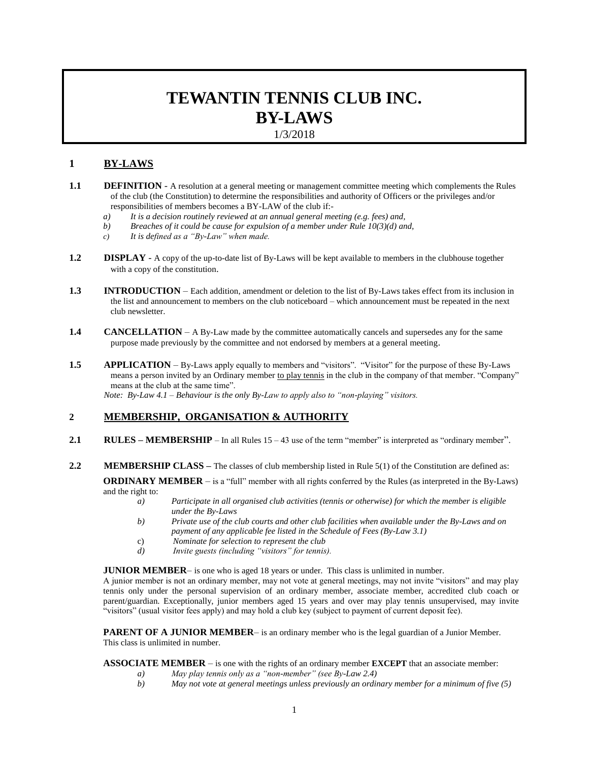# **TEWANTIN TENNIS CLUB INC. BY-LAWS** 1/3/2018

### **1 BY-LAWS**

- **1.1 DEFINITION** A resolution at a general meeting or management committee meeting which complements the Rules of the club (the Constitution) to determine the responsibilities and authority of Officers or the privileges and/or responsibilities of members becomes a BY-LAW of the club if:
	- *a) It is a decision routinely reviewed at an annual general meeting (e.g. fees) and,*
	- *b) Breaches of it could be cause for expulsion of a member under Rule 10(3)(d) and,*
	- *c) It is defined as a "By-Law" when made.*
- **1.2 DISPLAY** A copy of the up-to-date list of By-Laws will be kept available to members in the clubhouse together with a copy of the constitution.
- **1.3 INTRODUCTION** Each addition, amendment or deletion to the list of By-Laws takes effect from its inclusion in the list and announcement to members on the club noticeboard – which announcement must be repeated in the next club newsletter.
- **1.4 CANCELLATION** A By-Law made by the committee automatically cancels and supersedes any for the same purpose made previously by the committee and not endorsed by members at a general meeting.
- **1.5 APPLICATION** By-Laws apply equally to members and "visitors". "Visitor" for the purpose of these By-Laws means a person invited by an Ordinary member to play tennis in the club in the company of that member. "Company" means at the club at the same time".

*Note: By-Law 4.1 – Behaviour is the only By-Law to apply also to "non-playing" visitors.*

### **2 MEMBERSHIP, ORGANISATION & AUTHORITY**

- **2.1 RULES MEMBERSHIP** In all Rules 15 43 use of the term "member" is interpreted as "ordinary member".
- **2.2 MEMBERSHIP CLASS** The classes of club membership listed in Rule 5(1) of the Constitution are defined as:

**ORDINARY MEMBER** – is a "full" member with all rights conferred by the Rules (as interpreted in the By-Laws) and the right to:

- *a) Participate in all organised club activities (tennis or otherwise) for which the member is eligible under the By-Laws*
- *b) Private use of the club courts and other club facilities when available under the By-Laws and on payment of any applicable fee listed in the Schedule of Fees (By-Law 3.1)*
- c) *Nominate for selection to represent the club*
- *d) Invite guests (including "visitors" for tennis).*

**JUNIOR MEMBER**— is one who is aged 18 years or under. This class is unlimited in number.

A junior member is not an ordinary member, may not vote at general meetings, may not invite "visitors" and may play tennis only under the personal supervision of an ordinary member, associate member, accredited club coach or parent/guardian. Exceptionally, junior members aged 15 years and over may play tennis unsupervised, may invite "visitors" (usual visitor fees apply) and may hold a club key (subject to payment of current deposit fee).

**PARENT OF A JUNIOR MEMBER**– is an ordinary member who is the legal guardian of a Junior Member. This class is unlimited in number.

### **ASSOCIATE MEMBER** – is one with the rights of an ordinary member **EXCEPT** that an associate member:

- *a) May play tennis only as a "non-member" (see By-Law 2.4)*
- *b) May not vote at general meetings unless previously an ordinary member for a minimum of five (5)*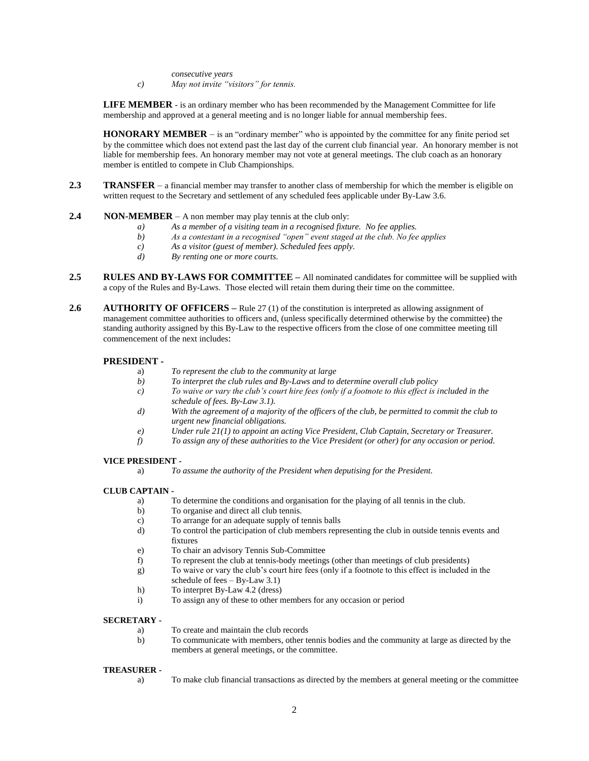*consecutive years*

*c) May not invite "visitors" for tennis.*

**LIFE MEMBER** - is an ordinary member who has been recommended by the Management Committee for life membership and approved at a general meeting and is no longer liable for annual membership fees.

**HONORARY MEMBER** – is an "ordinary member" who is appointed by the committee for any finite period set by the committee which does not extend past the last day of the current club financial year. An honorary member is not liable for membership fees. An honorary member may not vote at general meetings. The club coach as an honorary member is entitled to compete in Club Championships.

**2.3 TRANSFER** – a financial member may transfer to another class of membership for which the member is eligible on written request to the Secretary and settlement of any scheduled fees applicable under By-Law 3.6.

#### **2.4 NON-MEMBER** – A non member may play tennis at the club only:

- *a) As a member of a visiting team in a recognised fixture. No fee applies.*
- *b) As a contestant in a recognised "open" event staged at the club. No fee applies*
- *c) As a visitor (guest of member). Scheduled fees apply.*
- *d) By renting one or more courts.*
- **2.5 RULES AND BY-LAWS FOR COMMITTEE –** All nominated candidates for committee will be supplied with a copy of the Rules and By-Laws. Those elected will retain them during their time on the committee.
- **2.6 AUTHORITY OF OFFICERS** Rule 27 (1) of the constitution is interpreted as allowing assignment of management committee authorities to officers and, (unless specifically determined otherwise by the committee) the standing authority assigned by this By-Law to the respective officers from the close of one committee meeting till commencement of the next includes:

### **PRESIDENT -**

- a) *To represent the club to the community at large*
- *b) To interpret the club rules and By-Laws and to determine overall club policy*
- *c) To waive or vary the club's court hire fees (only if a footnote to this effect is included in the schedule of fees. By-Law 3.1).*
- *d) With the agreement of a majority of the officers of the club, be permitted to commit the club to urgent new financial obligations.*
- *e) Under rule 21(1) to appoint an acting Vice President, Club Captain, Secretary or Treasurer.*
- *f) To assign any of these authorities to the Vice President (or other) for any occasion or period.*

### **VICE PRESIDENT -**

a) *To assume the authority of the President when deputising for the President.*

### **CLUB CAPTAIN -**

- a) To determine the conditions and organisation for the playing of all tennis in the club.
- b) To organise and direct all club tennis.
- c) To arrange for an adequate supply of tennis balls
- d) To control the participation of club members representing the club in outside tennis events and fixtures
- e) To chair an advisory Tennis Sub-Committee
- f) To represent the club at tennis-body meetings (other than meetings of club presidents)
- g) To waive or vary the club's court hire fees (only if a footnote to this effect is included in the schedule of fees – By-Law 3.1)
- h) To interpret By-Law 4.2 (dress)
- i) To assign any of these to other members for any occasion or period

### **SECRETARY -**

- a) To create and maintain the club records
- b) To communicate with members, other tennis bodies and the community at large as directed by the members at general meetings, or the committee.

### **TREASURER -**

a) To make club financial transactions as directed by the members at general meeting or the committee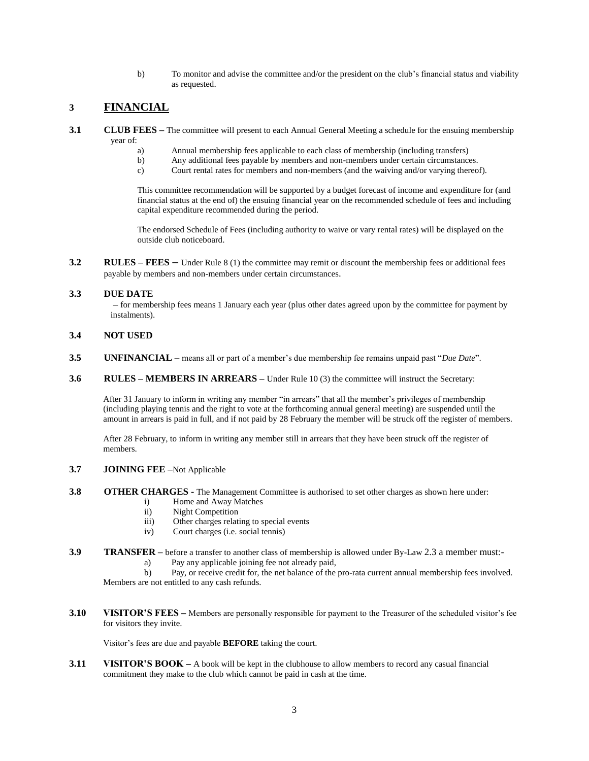b) To monitor and advise the committee and/or the president on the club's financial status and viability as requested.

# **3 FINANCIAL**

- **3.1 CLUB FEES –** The committee will present to each Annual General Meeting a schedule for the ensuing membership year of:
	- a) Annual membership fees applicable to each class of membership (including transfers)<br>b) Any additional fees payable by members and non-members under certain circumstance
	- b) Any additional fees payable by members and non-members under certain circumstances.
	- c) Court rental rates for members and non-members (and the waiving and/or varying thereof).

This committee recommendation will be supported by a budget forecast of income and expenditure for (and financial status at the end of) the ensuing financial year on the recommended schedule of fees and including capital expenditure recommended during the period.

The endorsed Schedule of Fees (including authority to waive or vary rental rates) will be displayed on the outside club noticeboard.

**3.2 RULES – FEES** – Under Rule 8 (1) the committee may remit or discount the membership fees or additional fees payable by members and non-members under certain circumstances.

### **3.3 DUE DATE**

**–** for membership fees means 1 January each year (plus other dates agreed upon by the committee for payment by instalments).

### **3.4 NOT USED**

- **3.5 UNFINANCIAL**  means all or part of a member's due membership fee remains unpaid past "*Due Date*".
- **3.6 RULES MEMBERS IN ARREARS –** Under Rule 10 (3) the committee will instruct the Secretary:

After 31 January to inform in writing any member "in arrears" that all the member's privileges of membership (including playing tennis and the right to vote at the forthcoming annual general meeting) are suspended until the amount in arrears is paid in full, and if not paid by 28 February the member will be struck off the register of members.

After 28 February, to inform in writing any member still in arrears that they have been struck off the register of members.

### **3.7 JOINING FEE –**Not Applicable

- **3.8 OTHER CHARGES** The Management Committee is authorised to set other charges as shown here under:
	- i) Home and Away Matches
	- ii) Night Competition
	- iii) Other charges relating to special events
	- iv) Court charges (i.e. social tennis)
- **3.9 TRANSFER –** before a transfer to another class of membership is allowed under By-Law 2.3 a member must:
	- a) Pay any applicable joining fee not already paid,

b) Pay, or receive credit for, the net balance of the pro-rata current annual membership fees involved. Members are not entitled to any cash refunds.

**3.10 VISITOR'S FEES –** Members are personally responsible for payment to the Treasurer of the scheduled visitor's fee for visitors they invite.

Visitor's fees are due and payable **BEFORE** taking the court.

**3.11 VISITOR'S BOOK –** A book will be kept in the clubhouse to allow members to record any casual financial commitment they make to the club which cannot be paid in cash at the time.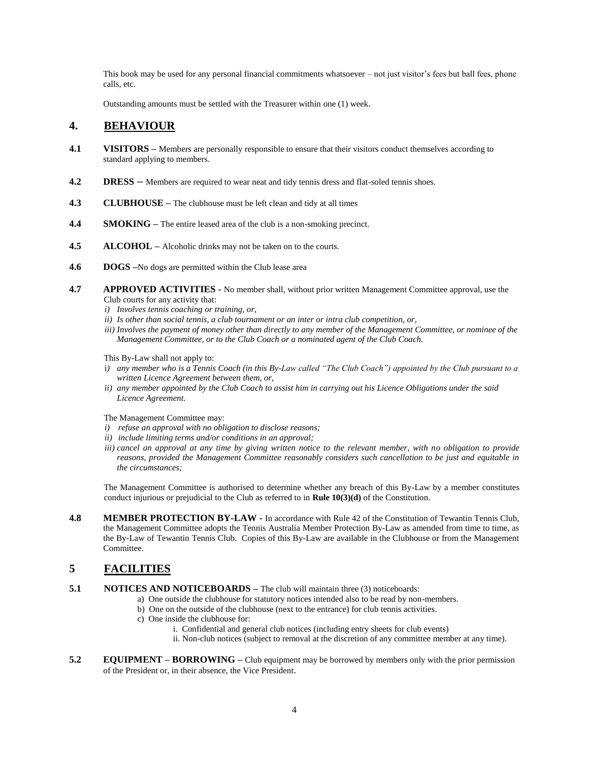This book may be used for any personal financial commitments whatsoever – not just visitor's fees but ball fees, phone calls, etc.

Outstanding amounts must be settled with the Treasurer within one (1) week.

### **4. BEHAVIOUR**

- **4.1 VISITORS** Members are personally responsible to ensure that their visitors conduct themselves according to standard applying to members.
- **4.2 DRESS** Members are required to wear neat and tidy tennis dress and flat-soled tennis shoes.
- **4.3 CLUBHOUSE –** The clubhouse must be left clean and tidy at all times
- **4.4 SMOKING –** The entire leased area of the club is a non-smoking precinct.
- **4.5 ALCOHOL –** Alcoholic drinks may not be taken on to the courts.
- **4.6 DOGS –**No dogs are permitted within the Club lease area
- **4.7 APPROVED ACTIVITIES -** No member shall, without prior written Management Committee approval, use the Club courts for any activity that:
	- *i) Involves tennis coaching or training, or,*
	- *ii) Is other than social tennis, a club tournament or an inter or intra club competition, or,*
	- *iii) Involves the payment of money other than directly to any member of the Management Committee, or nominee of the Management Committee, or to the Club Coach or a nominated agent of the Club Coach.*

This By-Law shall not apply to:

- i*) any member who is a Tennis Coach (in this By-Law called "The Club Coach") appointed by the Club pursuant to a written Licence Agreement between them, or,*
- *ii) any member appointed by the Club Coach to assist him in carrying out his Licence Obligations under the said Licence Agreement.*

#### The Management Committee may:

- *i) refuse an approval with no obligation to disclose reasons;*
- *ii) include limiting terms and/or conditions in an approval;*
- *iii)* cancel an approval at any time by giving written notice to the relevant member, with no obligation to provide *reasons, provided the Management Committee reasonably considers such cancellation to be just and equitable in the circumstances;*

The Management Committee is authorised to determine whether any breach of this By-Law by a member constitutes conduct injurious or prejudicial to the Club as referred to in **Rule 10(3)(d)** of the Constitution.

**4.8 MEMBER PROTECTION BY-LAW -** In accordance with Rule 42 of the Constitution of Tewantin Tennis Club, the Management Committee adopts the Tennis Australia Member Protection By-Law as amended from time to time, as the By-Law of Tewantin Tennis Club. Copies of this By-Law are available in the Clubhouse or from the Management Committee.

### **5 FACILITIES**

- **5.1 NOTICES AND NOTICEBOARDS** The club will maintain three (3) noticeboards:
	- a) One outside the clubhouse for statutory notices intended also to be read by non-members.
		- b) One on the outside of the clubhouse (next to the entrance) for club tennis activities.
		- c) One inside the clubhouse for:
			- i. Confidential and general club notices (including entry sheets for club events) ii. Non-club notices (subject to removal at the discretion of any committee member at any time).
- **5.2 EQUIPMENT – BORROWING –** Club equipment may be borrowed by members only with the prior permission of the President or, in their absence, the Vice President.